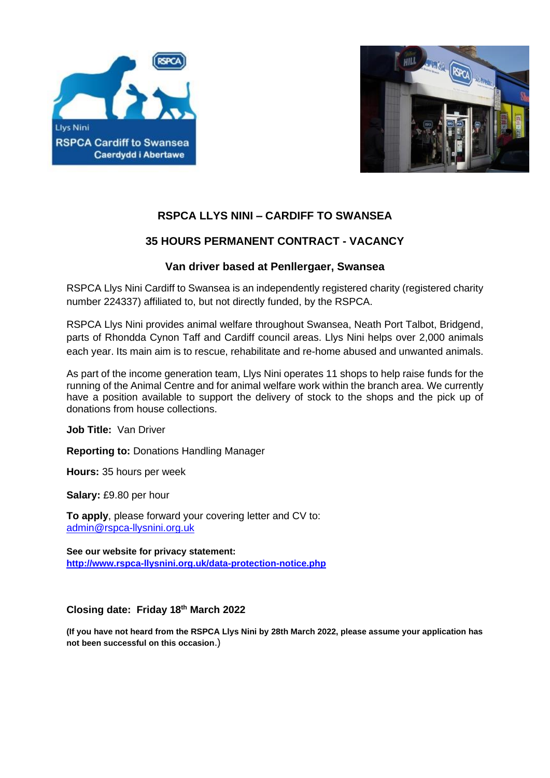



# **RSPCA LLYS NINI – CARDIFF TO SWANSEA**

# **35 HOURS PERMANENT CONTRACT - VACANCY**

## **Van driver based at Penllergaer, Swansea**

RSPCA Llys Nini Cardiff to Swansea is an independently registered charity (registered charity number 224337) affiliated to, but not directly funded, by the RSPCA.

RSPCA Llys Nini provides animal welfare throughout Swansea, Neath Port Talbot, Bridgend, parts of Rhondda Cynon Taff and Cardiff council areas. Llys Nini helps over 2,000 animals each year. Its main aim is to rescue, rehabilitate and re-home abused and unwanted animals.

As part of the income generation team, Llys Nini operates 11 shops to help raise funds for the running of the Animal Centre and for animal welfare work within the branch area. We currently have a position available to support the delivery of stock to the shops and the pick up of donations from house collections.

**Job Title:** Van Driver

**Reporting to:** Donations Handling Manager

**Hours:** 35 hours per week

**Salary:** £9.80 per hour

**To apply**, please forward your covering letter and CV to: [admin@rspca-llysnini.org.uk](mailto:admin@rspca-llysnini.org.uk)

**See our website for privacy statement: <http://www.rspca-llysnini.org.uk/data-protection-notice.php>**

### **Closing date: Friday 18th March 2022**

**(If you have not heard from the RSPCA Llys Nini by 28th March 2022, please assume your application has not been successful on this occasion**.)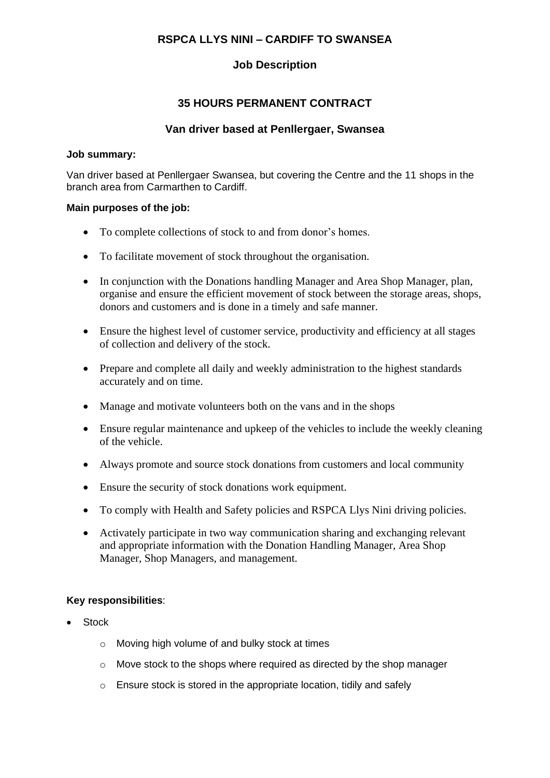## **RSPCA LLYS NINI – CARDIFF TO SWANSEA**

## **Job Description**

## **35 HOURS PERMANENT CONTRACT**

#### **Van driver based at Penllergaer, Swansea**

#### **Job summary:**

Van driver based at Penllergaer Swansea, but covering the Centre and the 11 shops in the branch area from Carmarthen to Cardiff.

#### **Main purposes of the job:**

- To complete collections of stock to and from donor's homes.
- To facilitate movement of stock throughout the organisation.
- In conjunction with the Donations handling Manager and Area Shop Manager, plan, organise and ensure the efficient movement of stock between the storage areas, shops, donors and customers and is done in a timely and safe manner.
- Ensure the highest level of customer service, productivity and efficiency at all stages of collection and delivery of the stock.
- Prepare and complete all daily and weekly administration to the highest standards accurately and on time.
- Manage and motivate volunteers both on the vans and in the shops
- Ensure regular maintenance and upkeep of the vehicles to include the weekly cleaning of the vehicle.
- Always promote and source stock donations from customers and local community
- Ensure the security of stock donations work equipment.
- To comply with Health and Safety policies and RSPCA Llys Nini driving policies.
- Activately participate in two way communication sharing and exchanging relevant and appropriate information with the Donation Handling Manager, Area Shop Manager, Shop Managers, and management.

#### **Key responsibilities**:

- Stock
	- o Moving high volume of and bulky stock at times
	- $\circ$  Move stock to the shops where required as directed by the shop manager
	- o Ensure stock is stored in the appropriate location, tidily and safely